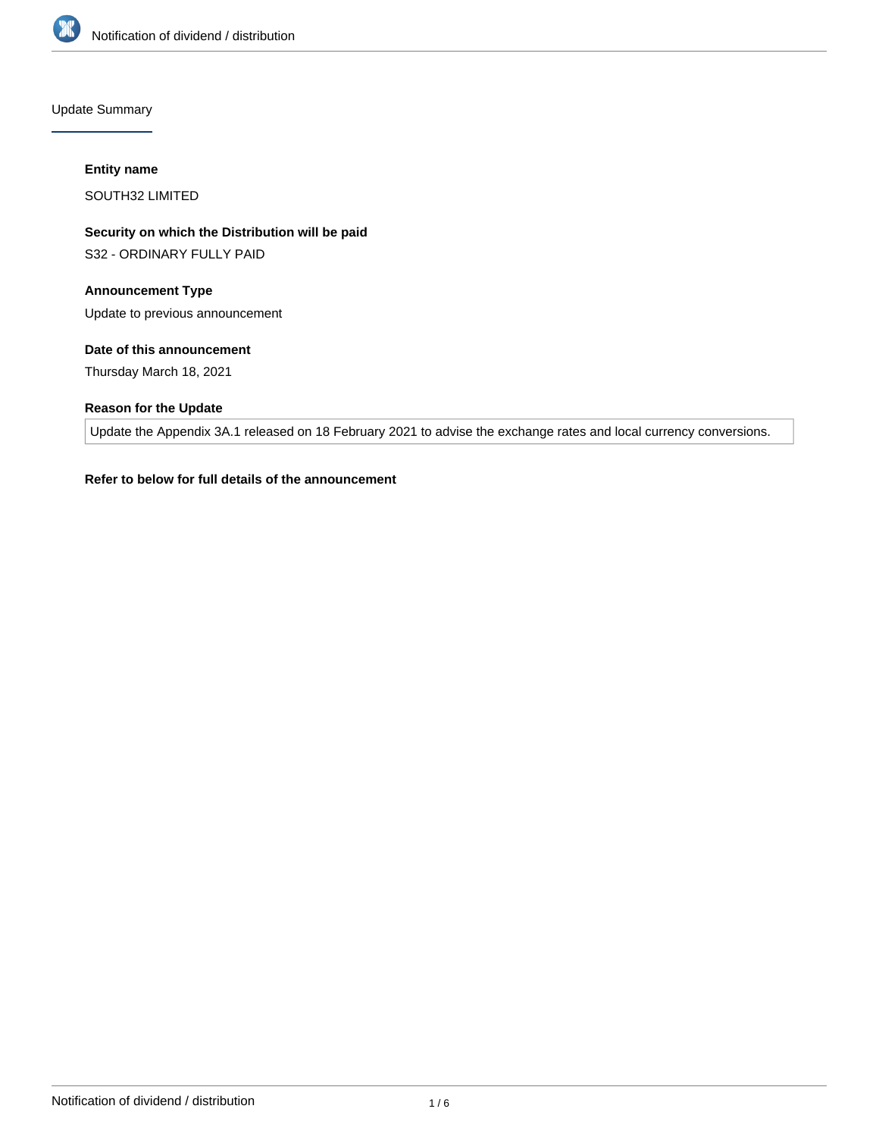

Update Summary

#### **Entity name**

SOUTH32 LIMITED

**Security on which the Distribution will be paid**

S32 - ORDINARY FULLY PAID

# **Announcement Type**

Update to previous announcement

# **Date of this announcement**

Thursday March 18, 2021

# **Reason for the Update**

Update the Appendix 3A.1 released on 18 February 2021 to advise the exchange rates and local currency conversions.

# **Refer to below for full details of the announcement**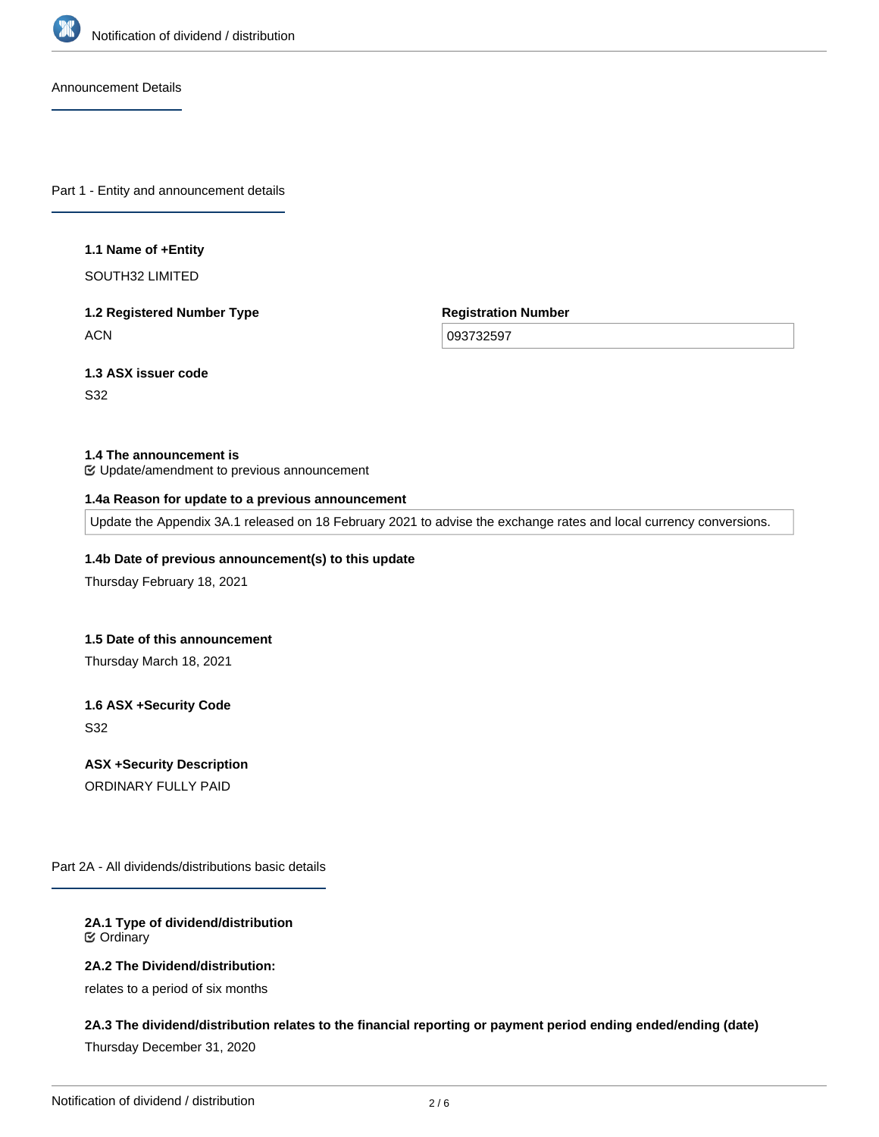

Announcement Details

Part 1 - Entity and announcement details

#### **1.1 Name of +Entity**

SOUTH32 LIMITED

**1.2 Registered Number Type ACN** 

**Registration Number**

093732597

**1.3 ASX issuer code** S32

#### **1.4 The announcement is**

Update/amendment to previous announcement

#### **1.4a Reason for update to a previous announcement**

Update the Appendix 3A.1 released on 18 February 2021 to advise the exchange rates and local currency conversions.

# **1.4b Date of previous announcement(s) to this update**

Thursday February 18, 2021

#### **1.5 Date of this announcement**

Thursday March 18, 2021

**1.6 ASX +Security Code** S32

**ASX +Security Description**

ORDINARY FULLY PAID

Part 2A - All dividends/distributions basic details

**2A.1 Type of dividend/distribution** Ordinary

**2A.2 The Dividend/distribution:**

relates to a period of six months

## **2A.3 The dividend/distribution relates to the financial reporting or payment period ending ended/ending (date)**

Thursday December 31, 2020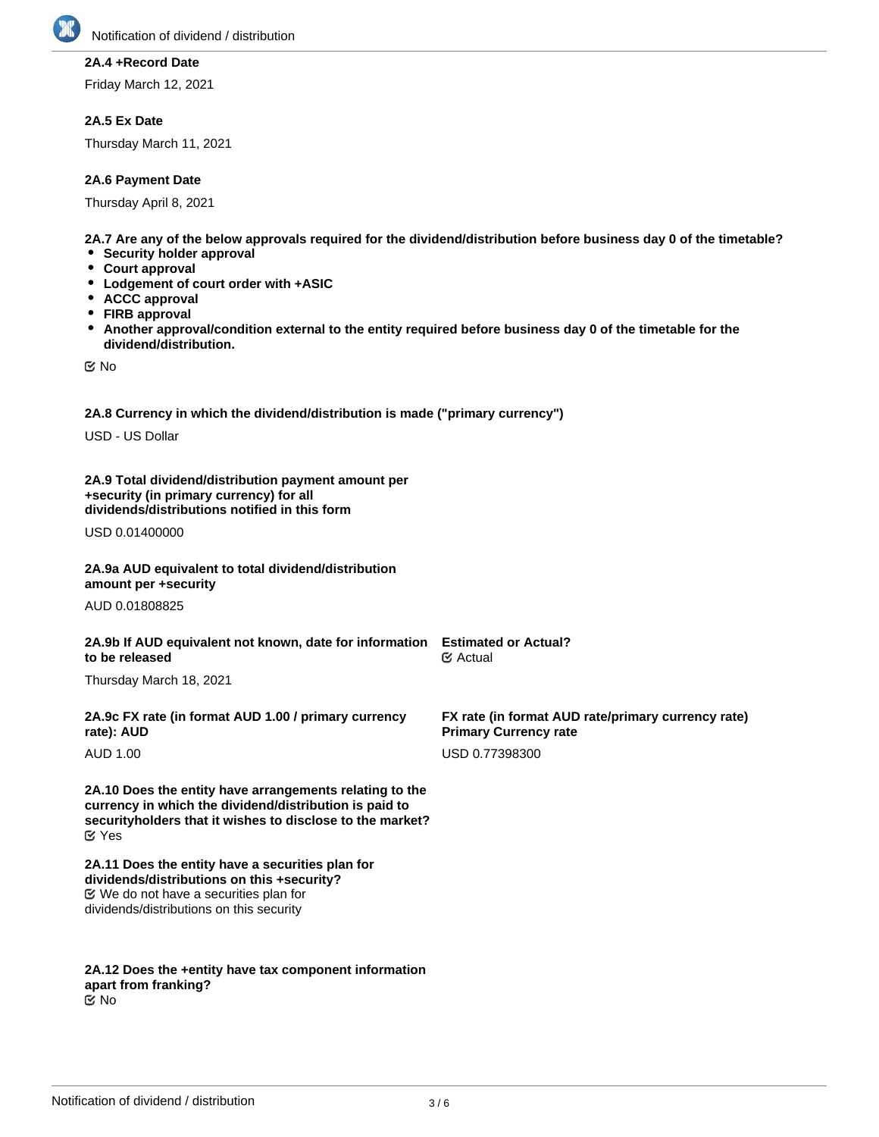

# **2A.4 +Record Date**

Friday March 12, 2021

# **2A.5 Ex Date**

Thursday March 11, 2021

## **2A.6 Payment Date**

Thursday April 8, 2021

**2A.7 Are any of the below approvals required for the dividend/distribution before business day 0 of the timetable?**

- **Security holder approval**
- **Court approval**
- **Lodgement of court order with +ASIC**
- **ACCC approval**
- **FIRB approval**
- **Another approval/condition external to the entity required before business day 0 of the timetable for the dividend/distribution.**

No

**2A.8 Currency in which the dividend/distribution is made ("primary currency")**

USD - US Dollar

**2A.9 Total dividend/distribution payment amount per +security (in primary currency) for all dividends/distributions notified in this form**

USD 0.01400000

### **2A.9a AUD equivalent to total dividend/distribution amount per +security**

AUD 0.01808825

# **2A.9b If AUD equivalent not known, date for information Estimated or Actual? to be released**

Thursday March 18, 2021

**2A.9c FX rate (in format AUD 1.00 / primary currency rate): AUD**

AUD 1.00

**2A.10 Does the entity have arrangements relating to the currency in which the dividend/distribution is paid to securityholders that it wishes to disclose to the market?** Yes

**2A.11 Does the entity have a securities plan for dividends/distributions on this +security?** We do not have a securities plan for dividends/distributions on this security

**2A.12 Does the +entity have tax component information apart from franking?** No

**FX rate (in format AUD rate/primary currency rate)**

**Primary Currency rate**

USD 0.77398300

Actual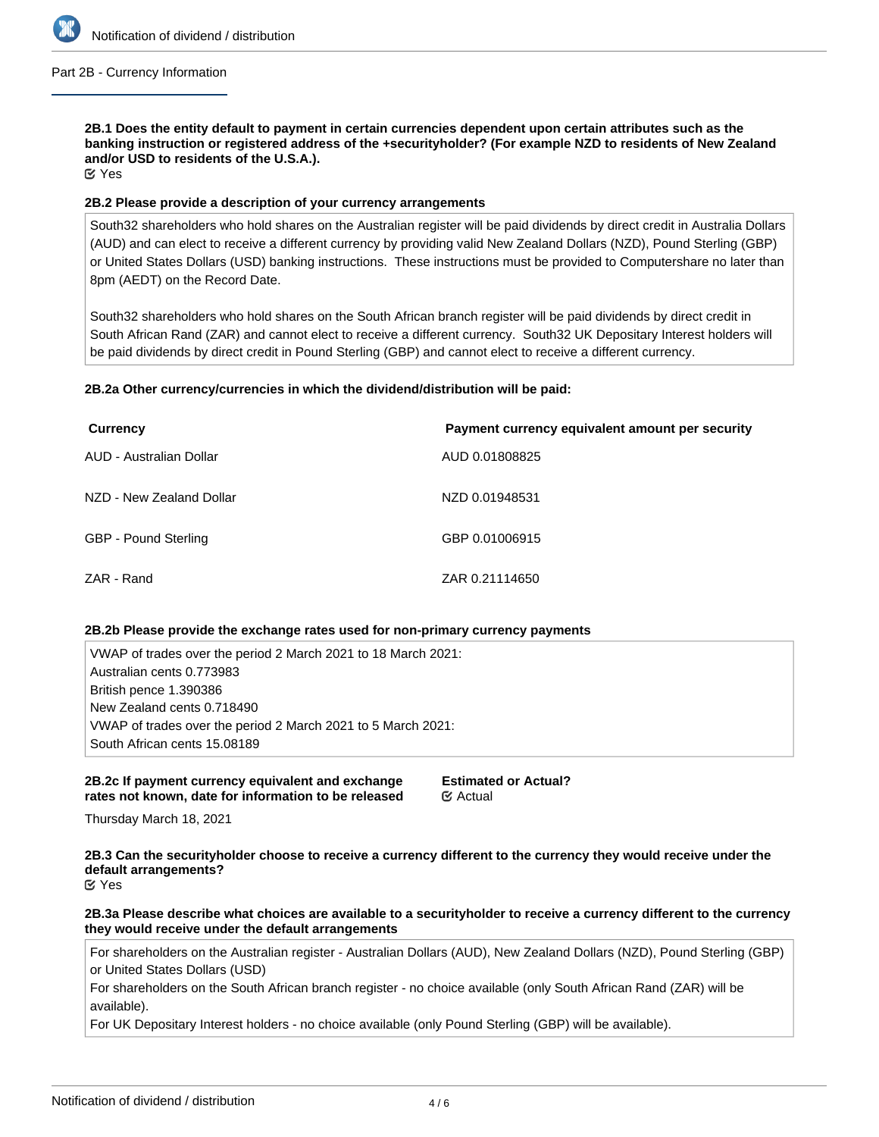

#### Part 2B - Currency Information

**2B.1 Does the entity default to payment in certain currencies dependent upon certain attributes such as the banking instruction or registered address of the +securityholder? (For example NZD to residents of New Zealand and/or USD to residents of the U.S.A.).**

Yes

## **2B.2 Please provide a description of your currency arrangements**

South32 shareholders who hold shares on the Australian register will be paid dividends by direct credit in Australia Dollars (AUD) and can elect to receive a different currency by providing valid New Zealand Dollars (NZD), Pound Sterling (GBP) or United States Dollars (USD) banking instructions. These instructions must be provided to Computershare no later than 8pm (AEDT) on the Record Date.

South32 shareholders who hold shares on the South African branch register will be paid dividends by direct credit in South African Rand (ZAR) and cannot elect to receive a different currency. South32 UK Depositary Interest holders will be paid dividends by direct credit in Pound Sterling (GBP) and cannot elect to receive a different currency.

# **2B.2a Other currency/currencies in which the dividend/distribution will be paid:**

| <b>Currency</b>          | Payment currency equivalent amount per security |
|--------------------------|-------------------------------------------------|
| AUD - Australian Dollar  | AUD 0.01808825                                  |
| NZD - New Zealand Dollar | NZD 0.01948531                                  |
| GBP - Pound Sterling     | GBP 0.01006915                                  |
| ZAR - Rand               | ZAR 0.21114650                                  |

## **2B.2b Please provide the exchange rates used for non-primary currency payments**

VWAP of trades over the period 2 March 2021 to 18 March 2021: Australian cents 0.773983 British pence 1.390386 New Zealand cents 0.718490 VWAP of trades over the period 2 March 2021 to 5 March 2021: South African cents 15.08189

## **2B.2c If payment currency equivalent and exchange rates not known, date for information to be released**

**Estimated or Actual?** Actual

Thursday March 18, 2021

**2B.3 Can the securityholder choose to receive a currency different to the currency they would receive under the default arrangements?**

Yes

**2B.3a Please describe what choices are available to a securityholder to receive a currency different to the currency they would receive under the default arrangements**

For shareholders on the Australian register - Australian Dollars (AUD), New Zealand Dollars (NZD), Pound Sterling (GBP) or United States Dollars (USD)

For shareholders on the South African branch register - no choice available (only South African Rand (ZAR) will be available).

For UK Depositary Interest holders - no choice available (only Pound Sterling (GBP) will be available).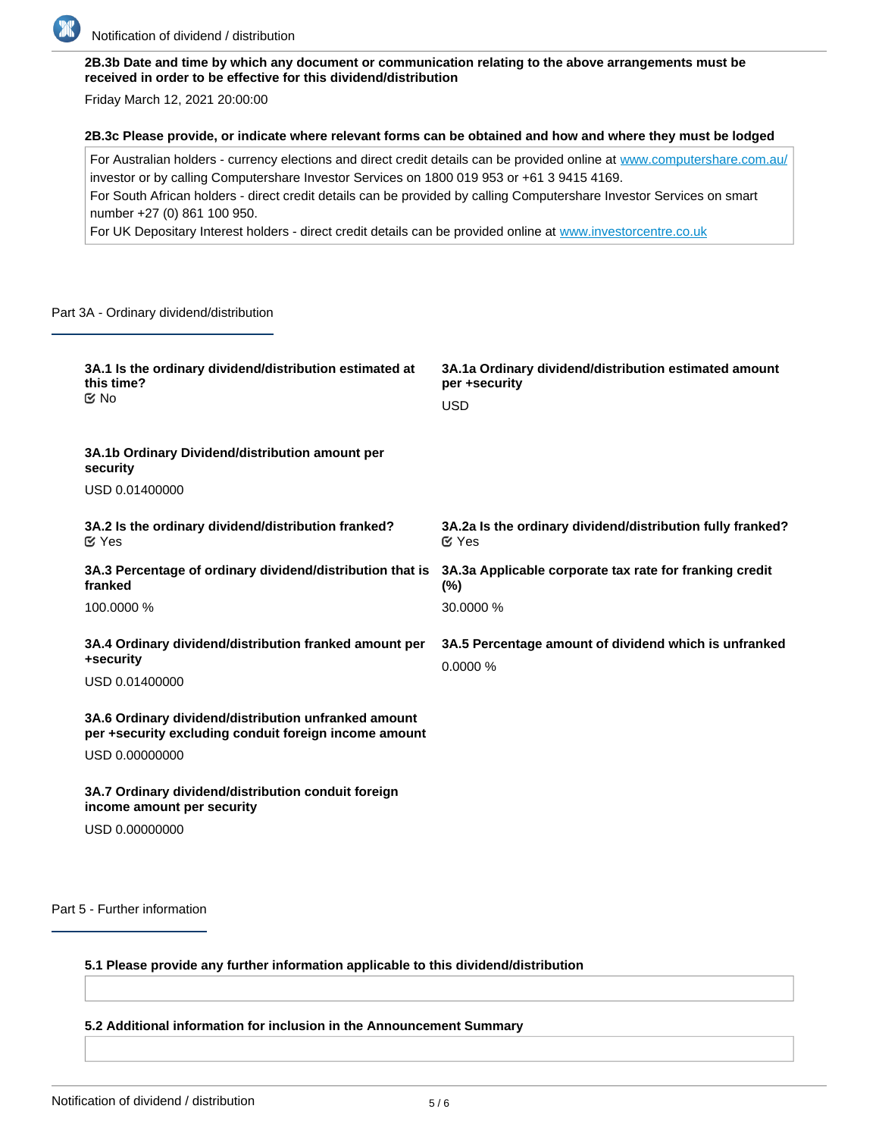

# **2B.3b Date and time by which any document or communication relating to the above arrangements must be received in order to be effective for this dividend/distribution**

Friday March 12, 2021 20:00:00

#### **2B.3c Please provide, or indicate where relevant forms can be obtained and how and where they must be lodged**

For Australian holders - currency elections and direct credit details can be provided online at [www.computershare.com.au/](http://www.computershare.com.au/) investor or by calling Computershare Investor Services on 1800 019 953 or +61 3 9415 4169. For South African holders - direct credit details can be provided by calling Computershare Investor Services on smart number +27 (0) 861 100 950.

For UK Depositary Interest holders - direct credit details can be provided online at [www.investorcentre.co.uk](http://www.investorcentre.co.uk)

#### Part 3A - Ordinary dividend/distribution

| 3A.1 Is the ordinary dividend/distribution estimated at<br>this time?<br>$\propto$ No                                           | 3A.1a Ordinary dividend/distribution estimated amount<br>per +security<br><b>USD</b> |
|---------------------------------------------------------------------------------------------------------------------------------|--------------------------------------------------------------------------------------|
| 3A.1b Ordinary Dividend/distribution amount per<br>security<br>USD 0.01400000                                                   |                                                                                      |
| 3A.2 Is the ordinary dividend/distribution franked?<br>$\alpha$ Yes                                                             | 3A.2a Is the ordinary dividend/distribution fully franked?<br>$\alpha$ Yes           |
| 3A.3 Percentage of ordinary dividend/distribution that is<br>franked                                                            | 3A.3a Applicable corporate tax rate for franking credit<br>$(\%)$                    |
| 100.0000 %                                                                                                                      | 30.0000 %                                                                            |
| 3A.4 Ordinary dividend/distribution franked amount per<br>+security<br>USD 0.01400000                                           | 3A.5 Percentage amount of dividend which is unfranked<br>0.0000%                     |
| 3A.6 Ordinary dividend/distribution unfranked amount<br>per +security excluding conduit foreign income amount<br>USD 0.00000000 |                                                                                      |
| 3A.7 Ordinary dividend/distribution conduit foreign<br>income amount per security<br>USD 0.00000000                             |                                                                                      |

Part 5 - Further information

# **5.1 Please provide any further information applicable to this dividend/distribution**

**5.2 Additional information for inclusion in the Announcement Summary**